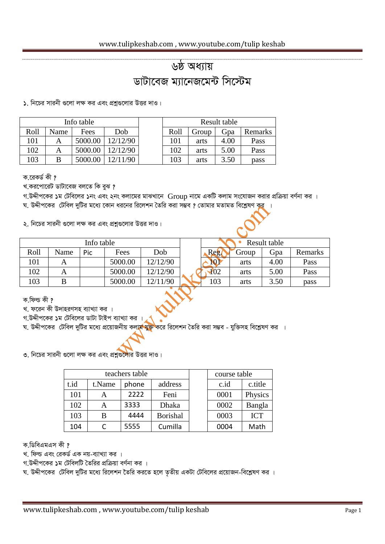## <u>৬ষ্ঠ অধ্যায়</u> *w* bid and a wich and what

১. নিচের সারনী গুলো লক্ষ কর এবং প্রশ্নগুলোর উত্তর দাও।

|      |      | Info table | Result table |      |       |      |         |
|------|------|------------|--------------|------|-------|------|---------|
| Roll | Name | Fees       | Dob          | Roll | Group | Gpa  | Remarks |
| 101  |      | 5000.00    | 12/12/90     | 101  | arts  | 4.00 | Pass    |
| 102  |      | 5000.00    | 12/12/90     | 102  | arts  | 5.00 | Pass    |
| 103  |      | 5000.00    | 12/11/90     | 103  | arts  | 3.50 | pass    |

ক.**রেকর্ড** কী ?

খ.করপোরেট ডাটাবেজ বলতে কি বুঝ **?** 

*M.DÏxc‡Ki 1g †Uwe‡ji 1bs Ges 2bs Kjv‡gi gvSLv‡b* Group *bv‡g GKwU Kjvg ms‡hvRb Kivi cÖwµqv eY©bv Ki |*

*ঘ. উদ্দীপকের টেবিল দুটির মধ্যে কোন ধরনের রিলেশন তৈরি করা সম্ভব ? তোমার মতামত বিশ্লেষণ ক* 

২. নিচের সারনী গুলো লক্ষ কর এবং প্রশ্নগুলোর উত্তর দাও।

| Info table |      |     |         |            |              |       | Result table |         |
|------------|------|-----|---------|------------|--------------|-------|--------------|---------|
| Roll       | Name | Pic | Fees    | <b>Dob</b> | Reg.         | Group | Gpa          | Remarks |
| 101        |      |     | 5000.00 | 12/12/90   | <b>NP</b>    | arts  | 4.00         | Pass    |
| 102        | Α    |     | 5000.00 | 12/12/90   | $\sqrt{402}$ | arts  | 5.00         | Pass    |
| 103        | B    |     | 5000.00 | 12/11/90   | 103          | arts  | 3.50         | pass    |

ক.ফিল্ড কী **?** 

খ. ফরেন কী উদাহরণসহ ব্যাখ্যা কর**।** 

গ.উদ্দীপকের **১**ম টেবিলের ডাটা টাইপ ব্যাখ্যা কর

*ঘ. উদ্দীপকের টেবিল দুটির মধ্যে প্র*য়োজনীয় কলা<mark>ম যুক্ত ক</mark>রে রিলেশন তৈরি করা সম্ভব - যুক্তিসহ বিশ্লেষণ কর ।

৩. নিচের সারনী গুলো লক্ষ কর এবং প্রশ্নগুলোর উত্তর দাও।

| teachers table |        |       |                 |  | course table |            |  |
|----------------|--------|-------|-----------------|--|--------------|------------|--|
| t.id           | t.Name | phone | address         |  | $c$ .id      | c.title    |  |
| 101            | А      | 2222  | Feni            |  | 0001         | Physics    |  |
| 102            | А      | 3333  | <b>Dhaka</b>    |  | 0002         | Bangla     |  |
| 103            | B      | 4444  | <b>Borishal</b> |  | 0003         | <b>ICT</b> |  |
| 104            |        | 5555  | Cumilla         |  | 0004         | Math       |  |

*K.wWweGgGm Kx ?*

খ. ফিল্ড এবং রেকর্ড এক নয়-ব্যাখ্যা কর ।

প.উদ্দীপকের **১**ম টেবিলটি তৈরির প্রক্রিয়া বর্ণনা কর ।

 $x$  উদ্দীপকের টেবিল দুটির মধ্যে রিলেশন তৈরি করতে হলে তৃতীয় একটা টেবিলের প্রয়োজন-বিশ্লেষণ কর ।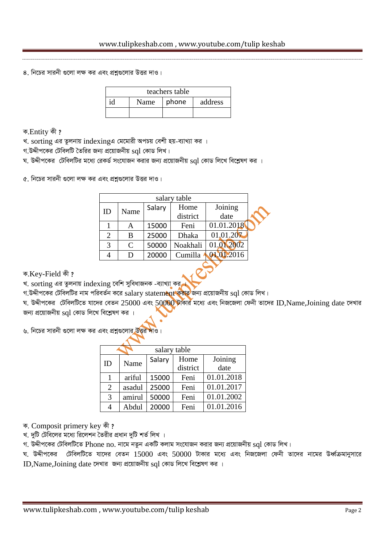$8.$  নিচের সারনী গুলো লক্ষ কর এবং প্রশ্নগুলোর উত্তর দাও।

| teachers table |                          |  |  |  |  |  |
|----------------|--------------------------|--|--|--|--|--|
| id             | phone<br>address<br>Name |  |  |  |  |  |
|                |                          |  |  |  |  |  |

ক.Entity কী ?

খ. sorting এর তুলনায় indexingএ মেমোরী অপচয় বেশী হয়-ব্যাখ্যা কর ।

 $n.$ উদ্দীপকের টেবিলটি তৈরির জন্য প্রয়োজনীয়  $sql$  কোড লিখ।

*N. DÏxc‡Ki †UwejwUi g‡a¨ †iKW© ms‡hvRb Kivi Rb¨ cÖ‡qvRbxq* sql *†KvW wj‡L we‡kølY Ki |*

*৫.* নিচের সারনী গুলো লক্ষ কর এবং প্রশ্নগুলোর উত্তর দাও।

| salary table   |              |        |          |            |  |  |  |  |
|----------------|--------------|--------|----------|------------|--|--|--|--|
| ID             | Name         | Salary | Home     | Joining    |  |  |  |  |
|                |              |        | district | date       |  |  |  |  |
|                |              | 15000  | Feni     | 01.01.2018 |  |  |  |  |
| $\overline{2}$ | B            | 25000  | Dhaka    | 01,01.207  |  |  |  |  |
| 3              | $\mathsf{C}$ | 50000  | Noakhali | 01.01.2002 |  |  |  |  |
|                | D            | 20000  | Cumilla  | 01.01.2016 |  |  |  |  |
|                |              |        |          |            |  |  |  |  |
|                |              |        |          |            |  |  |  |  |

 $\overline{\Phi}$ .Key-Field *की* ?

খ. sorting এর তুলনায় indexing বেশি সুবিধাজনক -ব্যাখ্যা কর্<sub>ব</sub>

*প.উদ্দীপকের টেবিলটির নাম পরিবর্তন করে salary statement করার জন্য প্রয়োজনীয় sql কোড লিখ।* 

*ঘ. উদ্দীপকের টেবিলটিতে যাদের বেতন 25000 এবং 50000 টাকার মধ্যে এবং নিজজেলা ফেনী তাদের ID,Name,Joining date দেখার* জন্য প্রয়োজনীয় sql কোড লিখে বিশ্লেষণ কর ।

*৬.* নিচের সারনী গুলো লক্ষ কর এবং প্রশ্নগুলোর উত্তর

| salary table   |        |        |          |            |  |  |
|----------------|--------|--------|----------|------------|--|--|
| ID             | Name   | Salary | Home     | Joining    |  |  |
|                |        |        | district | date       |  |  |
| 1              | ariful | 15000  | Feni     | 01.01.2018 |  |  |
| $\overline{2}$ | asadul | 25000  | Feni     | 01.01.2017 |  |  |
| 3              | amirul | 50000  | Feni     | 01.01.2002 |  |  |
| 4              | Abdul  | 20000  | Feni     | 01.01.2016 |  |  |

क. Composit primery key की ?

খ. দুটি টেবিলের মধ্যে রিলেশন তৈরীর প্রধান দুটি শর্ত লিখ**।** 

 $\eta$ . উদ্দীপকের টেবিলটিতে Phone no. নামে নতুন একটি কলাম সংযোজন করার জন্য প্রয়োজনীয়  $\mathrm{sql}$  কোড লিখ।

*N. DÏxc‡Ki †UwejwU‡Z hv‡`i †eZb* 15000 *Ges* 50000 *UvKvi g‡a¨ Ges wbR‡Rjv †dbx Zv‡`i bv‡gi DaŸ©µgvbymv‡i*   $ID$ , Name, Joining date দেখার *জন্য প্র*য়োজনীয় sql কোড লিখে বিশ্লেষণ কর ।